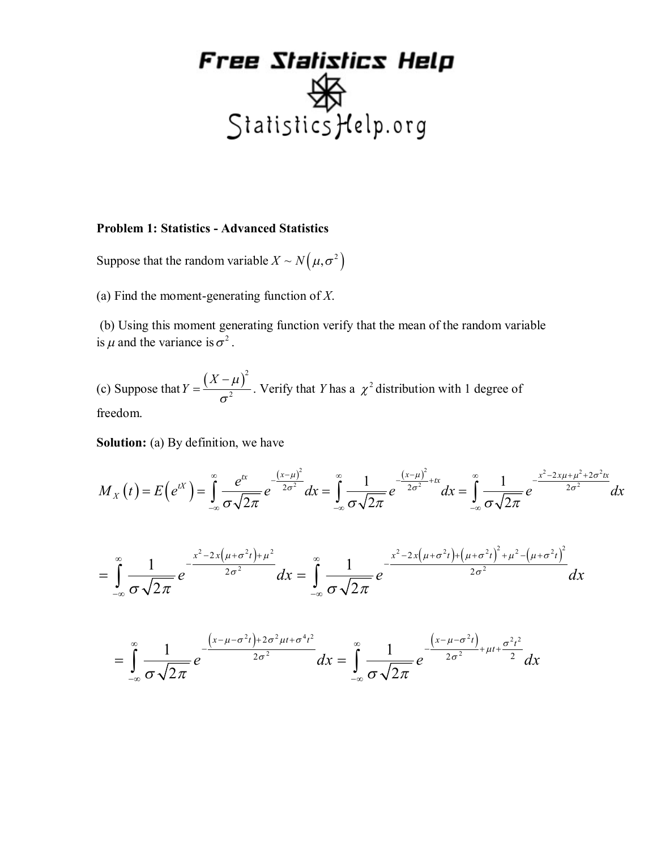#### **Problem 1: Statistics - Advanced Statistics**

Suppose that the random variable  $X \sim N(\mu, \sigma^2)$ 

(a) Find the moment-generating function of *X*.

 (b) Using this moment generating function verify that the mean of the random variable is  $\mu$  and the variance is  $\sigma^2$ .

(c) Suppose that  $Y = \frac{(X - \mu)^2}{2}$ 2 *X*  $Y=\frac{(X-\mu)}{2}$ σ  $=\frac{(X-\mu)^2}{2}$ . Verify that *Y* has a  $\chi^2$  distribution with 1 degree of freedom.

**Solution:** (a) By definition, we have

$$
M_X(t) = E\left(e^{tX}\right) = \int_{-\infty}^{\infty} \frac{e^{tx}}{\sigma\sqrt{2\pi}} e^{-\frac{(x-\mu)^2}{2\sigma^2}} dx = \int_{-\infty}^{\infty} \frac{1}{\sigma\sqrt{2\pi}} e^{-\frac{(x-\mu)^2}{2\sigma^2} + tx} dx = \int_{-\infty}^{\infty} \frac{1}{\sigma\sqrt{2\pi}} e^{-\frac{x^2 - 2x\mu + \mu^2 + 2\sigma^2 tx}{2\sigma^2}} dx
$$

$$
= \int_{-\infty}^{\infty} \frac{1}{\sigma \sqrt{2\pi}} e^{-\frac{x^2 - 2x(\mu + \sigma^2 t) + \mu^2}{2\sigma^2}} dx = \int_{-\infty}^{\infty} \frac{1}{\sigma \sqrt{2\pi}} e^{-\frac{x^2 - 2x(\mu + \sigma^2 t) + (\mu + \sigma^2 t)^2 + \mu^2 - (\mu + \sigma^2 t)^2}{2\sigma^2}} dx
$$

$$
= \int_{-\infty}^{\infty} \frac{1}{\sigma \sqrt{2\pi}} e^{-\frac{\left(x-\mu-\sigma^2 t\right)+2\sigma^2 \mu t + \sigma^4 t^2}{2\sigma^2}} dx = \int_{-\infty}^{\infty} \frac{1}{\sigma \sqrt{2\pi}} e^{-\frac{\left(x-\mu-\sigma^2 t\right)}{2\sigma^2}+\mu t + \frac{\sigma^2 t^2}{2}} dx
$$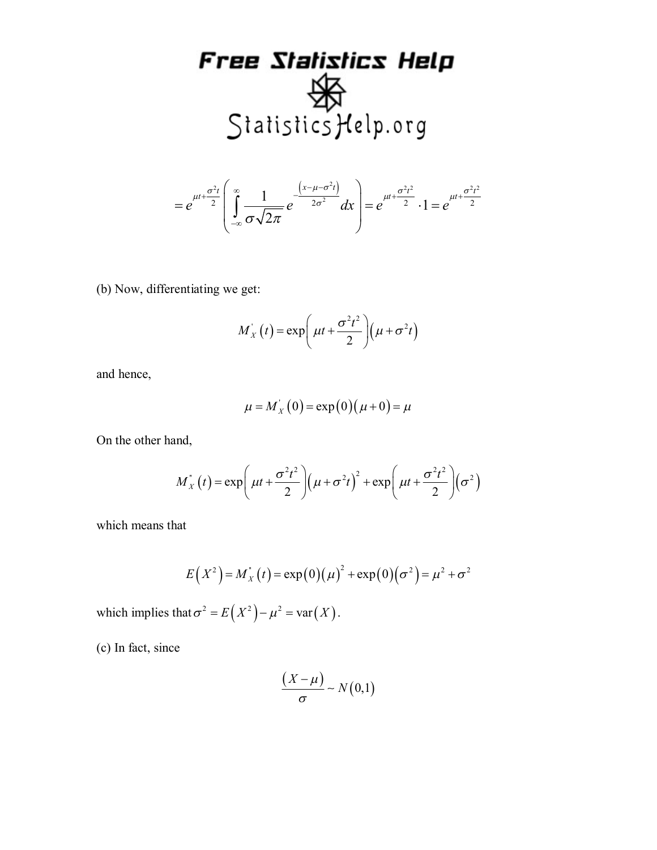$$
=e^{\mu t+\frac{\sigma^2t}{2}}\left(\int_{-\infty}^{\infty}\frac{1}{\sigma\sqrt{2\pi}}e^{-\frac{\left(x-\mu-\sigma^2t\right)}{2\sigma^2}}dx\right)=e^{\mu t+\frac{\sigma^2t^2}{2}}\cdot 1=e^{\mu t+\frac{\sigma^2t^2}{2}}
$$

(b) Now, differentiating we get:

$$
M_X(t) = \exp\left(\mu t + \frac{\sigma^2 t^2}{2}\right)\left(\mu + \sigma^2 t\right)
$$

and hence,

$$
\mu = M_X(0) = \exp(0)(\mu + 0) = \mu
$$

On the other hand,

$$
M'_X(t) = \exp\left(\mu t + \frac{\sigma^2 t^2}{2}\right)\left(\mu + \sigma^2 t\right)^2 + \exp\left(\mu t + \frac{\sigma^2 t^2}{2}\right)\left(\sigma^2\right)
$$

which means that

$$
E(X^{2}) = M_{X}^{*}(t) = \exp(0)(\mu)^{2} + \exp(0)(\sigma^{2}) = \mu^{2} + \sigma^{2}
$$

which implies that  $\sigma^2 = E(X^2) - \mu^2 = \text{var}(X)$ .

(c) In fact, since

$$
\frac{(X-\mu)}{\sigma} \sim N(0,1)
$$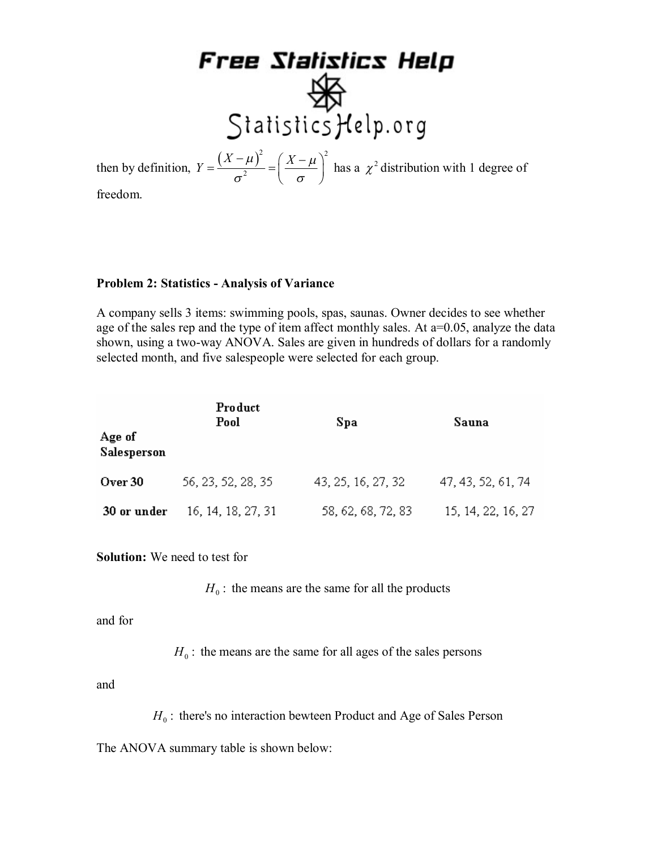then by definition,  $Y = \frac{(X - \mu)^2}{2} = \left(\frac{X - \mu}{\mu}\right)^2$  $Y = \frac{(X - \mu)^2}{2} = \left(\frac{X - \mu}{2}\right)$  $\sigma^2$   $\sigma$ 

 $=\frac{(X-\mu)^2}{\sigma^2}$  =  $\left(\frac{X-\mu}{\sigma}\right)^2$  has a  $\chi^2$  distribution with 1 degree of

freedom.

#### **Problem 2: Statistics - Analysis of Variance**

2

A company sells 3 items: swimming pools, spas, saunas. Owner decides to see whether age of the sales rep and the type of item affect monthly sales. At  $a=0.05$ , analyze the data shown, using a two-way ANOVA. Sales are given in hundreds of dollars for a randomly selected month, and five salespeople were selected for each group.

| Age of      | Product<br>Pool    | Spa                | Sauna              |  |  |
|-------------|--------------------|--------------------|--------------------|--|--|
| Salesperson |                    |                    |                    |  |  |
| Over 30     | 56, 23, 52, 28, 35 | 43, 25, 16, 27, 32 | 47, 43, 52, 61, 74 |  |  |
| 30 or under | 16, 14, 18, 27, 31 | 58, 62, 68, 72, 83 | 15, 14, 22, 16, 27 |  |  |

**Solution:** We need to test for

 $H_0$ : the means are the same for all the products

and for

 $H_0$ : the means are the same for all ages of the sales persons

and

 $H_0$ : there's no interaction bewteen Product and Age of Sales Person

The ANOVA summary table is shown below: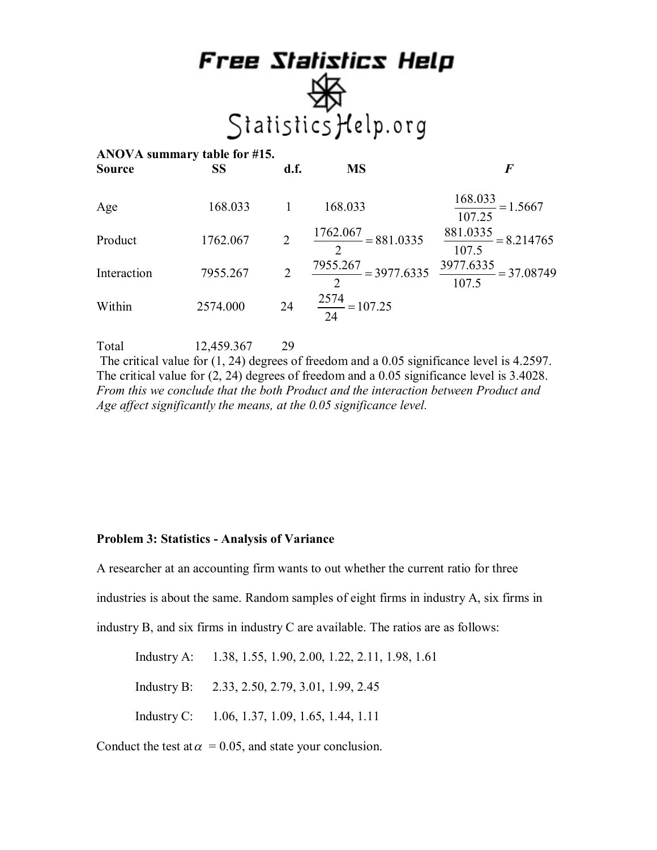| ANOVA summary table for #15.<br>Source | <b>SS</b> | d.f.           | <b>MS</b>                                                             | F                                        |
|----------------------------------------|-----------|----------------|-----------------------------------------------------------------------|------------------------------------------|
| Age                                    | 168.033   |                | 168.033                                                               | $\frac{168.033}{1} = 1.5667$<br>107.25   |
| Product                                | 1762.067  | $\overline{2}$ | $\frac{1762.067}{2} = 881.0335$                                       | $\frac{881.0335}{2} = 8.214765$<br>107.5 |
| Interaction                            | 7955.267  | 2              | $\frac{7955.267}{2} = 3977.6335$ $\frac{3977.6335}{107.5} = 37.08749$ | 107.5                                    |
| Within                                 | 2574.000  | 24             | $\frac{2574}{24} = 107.25$                                            |                                          |

Total 12,459.367 29

The critical value for (1, 24) degrees of freedom and a 0.05 significance level is 4.2597. The critical value for (2, 24) degrees of freedom and a 0.05 significance level is 3.4028. *From this we conclude that the both Product and the interaction between Product and Age affect significantly the means, at the 0.05 significance level.*

#### **Problem 3: Statistics - Analysis of Variance**

A researcher at an accounting firm wants to out whether the current ratio for three

industries is about the same. Random samples of eight firms in industry A, six firms in

industry B, and six firms in industry C are available. The ratios are as follows:

Industry A: 1.38, 1.55, 1.90, 2.00, 1.22, 2.11, 1.98, 1.61

Industry B: 2.33, 2.50, 2.79, 3.01, 1.99, 2.45

Industry C: 1.06, 1.37, 1.09, 1.65, 1.44, 1.11

Conduct the test at  $\alpha$  = 0.05, and state your conclusion.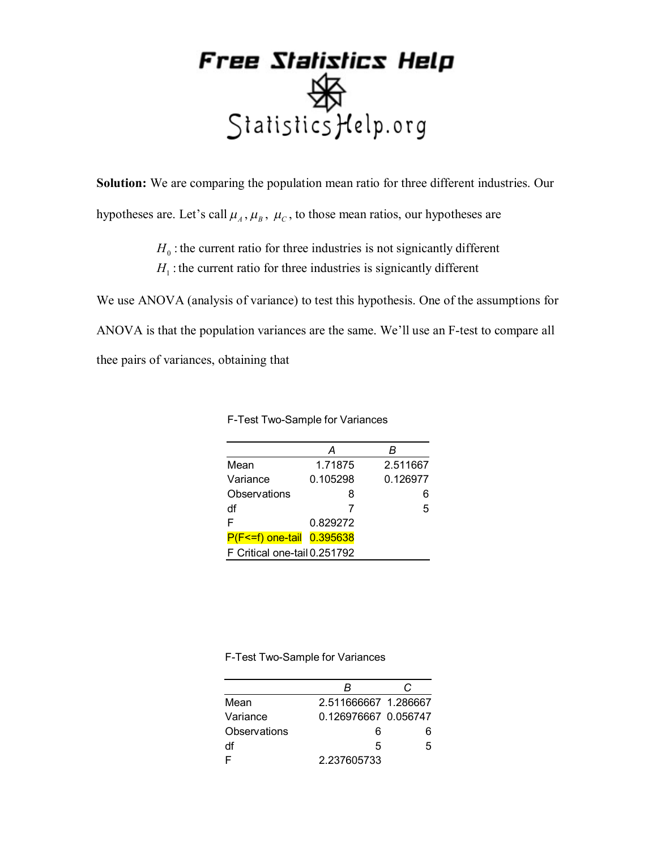**Solution:** We are comparing the population mean ratio for three different industries. Our hypotheses are. Let's call  $\mu_A$ ,  $\mu_B$ ,  $\mu_C$ , to those mean ratios, our hypotheses are

> $H_0$ : the current ratio for three industries is not signicantly different  $H<sub>1</sub>$ : the current ratio for three industries is signicantly different

We use ANOVA (analysis of variance) to test this hypothesis. One of the assumptions for ANOVA is that the population variances are the same. We'll use an F-test to compare all thee pairs of variances, obtaining that

|                              | А        | R        |
|------------------------------|----------|----------|
| Mean                         | 1.71875  | 2.511667 |
| Variance                     | 0.105298 | 0.126977 |
| Observations                 | 8        |          |
| df                           | 7        | 5        |
| F                            | 0.829272 |          |
| P(F<=f) one-tail             | 0.395638 |          |
| F Critical one-tail 0.251792 |          |          |

F-Test Two-Sample for Variances

F-Test Two-Sample for Variances

|              | R                    |    |
|--------------|----------------------|----|
| Mean         | 2.511666667 1.286667 |    |
| Variance     | 0.126976667 0.056747 |    |
| Observations | 6                    |    |
| df           | 5                    | Б. |
|              | 2.237605733          |    |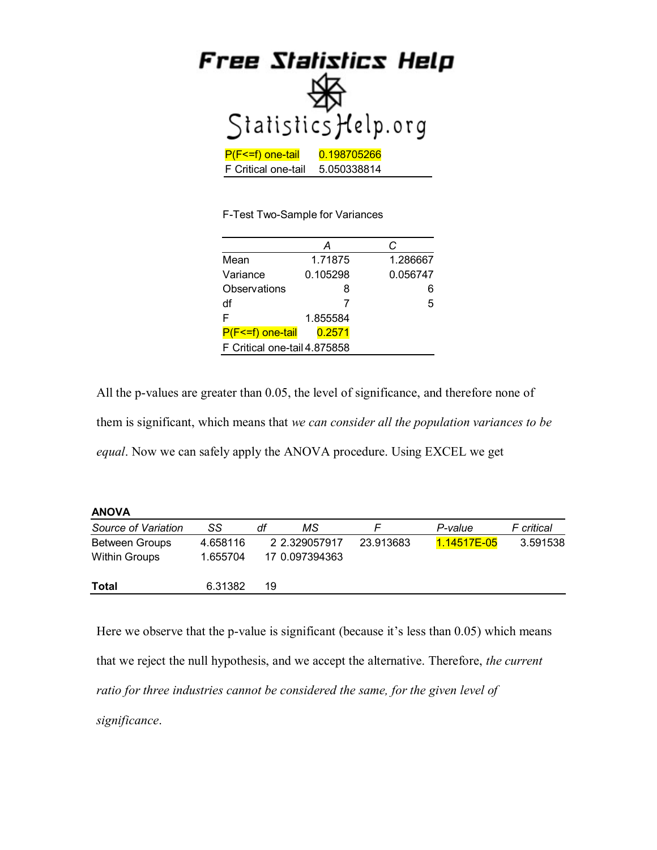|                     | Free Statistics Help |
|---------------------|----------------------|
|                     | Statistics Help.org  |
| P(F<=f) one-tail    | 0.198705266          |
| F Critical one-tail | 5.050338814          |

F-Test Two-Sample for Variances

|                              | А        | C        |  |  |  |
|------------------------------|----------|----------|--|--|--|
| Mean                         | 1.71875  | 1.286667 |  |  |  |
| Variance                     | 0.105298 | 0.056747 |  |  |  |
| Observations                 | 8        |          |  |  |  |
| df                           |          | 5        |  |  |  |
| F                            | 1.855584 |          |  |  |  |
| P(F<=f) one-tail             | 0.2571   |          |  |  |  |
| F Critical one-tail 4.875858 |          |          |  |  |  |

All the p-values are greater than 0.05, the level of significance, and therefore none of them is significant, which means that *we can consider all the population variances to be equal*. Now we can safely apply the ANOVA procedure. Using EXCEL we get

**ANOVA**

| .                     |          |    |                |           |             |            |
|-----------------------|----------|----|----------------|-----------|-------------|------------|
| Source of Variation   | SS       | df | МS             |           | P-value     | F critical |
| <b>Between Groups</b> | 4.658116 |    | 2 2.329057917  | 23.913683 | 1.14517E-05 | 3.591538   |
| Within Groups         | 1.655704 |    | 17 0.097394363 |           |             |            |
| Total                 | 6.31382  | 19 |                |           |             |            |

Here we observe that the p-value is significant (because it's less than 0.05) which means that we reject the null hypothesis, and we accept the alternative. Therefore, *the current ratio for three industries cannot be considered the same, for the given level of significance*.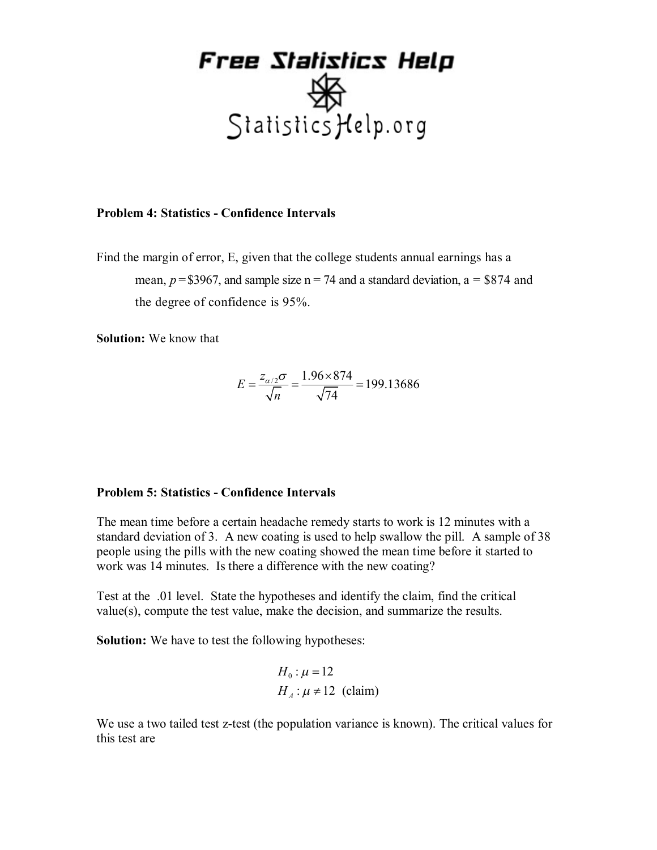

#### **Problem 4: Statistics - Confidence Intervals**

Find the margin of error, E, given that the college students annual earnings has a mean,  $p = $3967$ , and sample size  $n = 74$  and a standard deviation,  $a = $874$  and the degree of confidence is 95%.

**Solution:** We know that

$$
E = \frac{z_{\alpha/2}\sigma}{\sqrt{n}} = \frac{1.96 \times 874}{\sqrt{74}} = 199.13686
$$

#### **Problem 5: Statistics - Confidence Intervals**

The mean time before a certain headache remedy starts to work is 12 minutes with a standard deviation of 3. A new coating is used to help swallow the pill. A sample of 38 people using the pills with the new coating showed the mean time before it started to work was 14 minutes. Is there a difference with the new coating?

Test at the .01 level. State the hypotheses and identify the claim, find the critical value(s), compute the test value, make the decision, and summarize the results.

**Solution:** We have to test the following hypotheses:

$$
H_0: \mu = 12
$$
  
H<sub>A</sub>:  $\mu \neq 12$  (claim)

We use a two tailed test z-test (the population variance is known). The critical values for this test are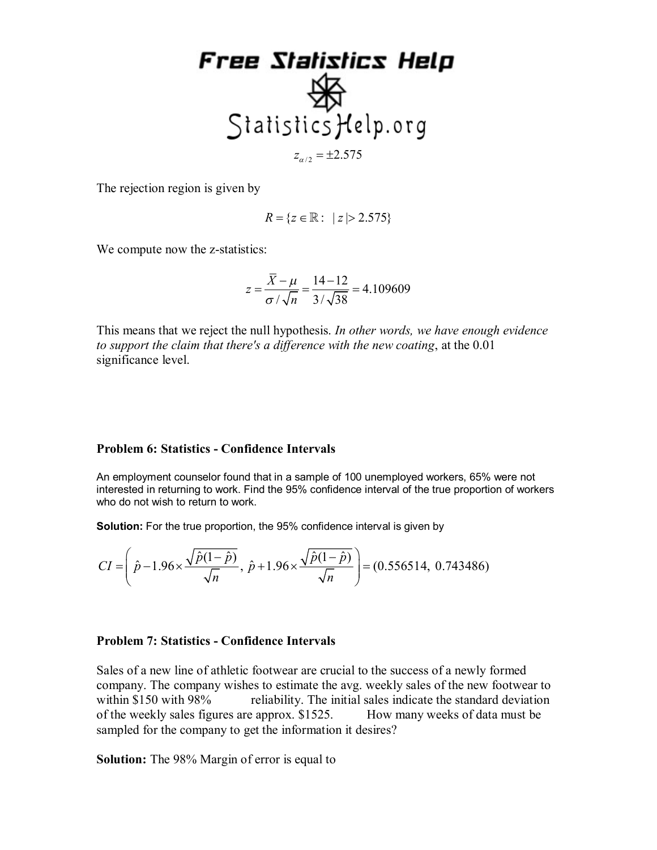

The rejection region is given by

$$
R = \{ z \in \mathbb{R} : \ \vert z \vert > 2.575 \}
$$

We compute now the z-statistics:

$$
z = \frac{\overline{X} - \mu}{\sigma / \sqrt{n}} = \frac{14 - 12}{3 / \sqrt{38}} = 4.109609
$$

This means that we reject the null hypothesis. *In other words, we have enough evidence to support the claim that there's a difference with the new coating*, at the 0.01 significance level.

#### **Problem 6: Statistics - Confidence Intervals**

An employment counselor found that in a sample of 100 unemployed workers, 65% were not interested in returning to work. Find the 95% confidence interval of the true proportion of workers who do not wish to return to work.

**Solution:** For the true proportion, the 95% confidence interval is given by

$$
CI = \left(\hat{p} - 1.96 \times \frac{\sqrt{\hat{p}(1-\hat{p})}}{\sqrt{n}}, \ \hat{p} + 1.96 \times \frac{\sqrt{\hat{p}(1-\hat{p})}}{\sqrt{n}}\right) = (0.556514, \ 0.743486)
$$

#### **Problem 7: Statistics - Confidence Intervals**

Sales of a new line of athletic footwear are crucial to the success of a newly formed company. The company wishes to estimate the avg. weekly sales of the new footwear to within \$150 with 98% reliability. The initial sales indicate the standard deviation of the weekly sales figures are approx. \$1525. How many weeks of data must be sampled for the company to get the information it desires?

**Solution:** The 98% Margin of error is equal to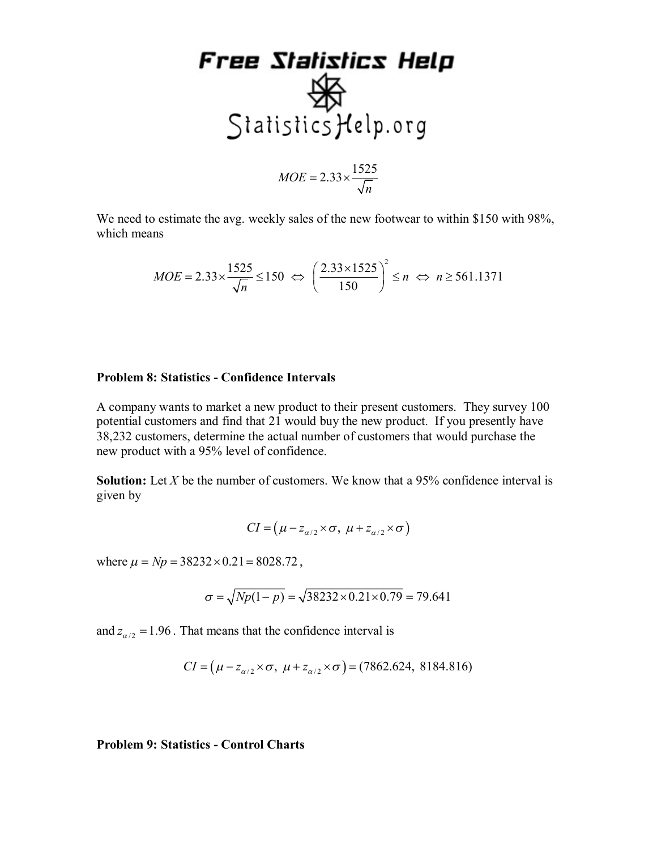### Free Statistics Help 多 Statistics Help.org  $MOE = 2.33 \times \frac{1525}{\sqrt{2}}$  $=2.33\times$

We need to estimate the avg. weekly sales of the new footwear to within \$150 with 98%, which means

*n*

$$
MOE = 2.33 \times \frac{1525}{\sqrt{n}} \le 150 \Leftrightarrow \left(\frac{2.33 \times 1525}{150}\right)^2 \le n \Leftrightarrow n \ge 561.1371
$$

#### **Problem 8: Statistics - Confidence Intervals**

A company wants to market a new product to their present customers. They survey 100 potential customers and find that 21 would buy the new product. If you presently have 38,232 customers, determine the actual number of customers that would purchase the new product with a 95% level of confidence.

**Solution:** Let *X* be the number of customers. We know that a 95% confidence interval is given by

$$
CI = (\mu - z_{\alpha/2} \times \sigma, \ \mu + z_{\alpha/2} \times \sigma)
$$

where  $\mu = Np = 38232 \times 0.21 = 8028.72$ ,

$$
\sigma = \sqrt{Np(1-p)} = \sqrt{38232 \times 0.21 \times 0.79} = 79.641
$$

and  $z_{\alpha/2} = 1.96$ . That means that the confidence interval is

$$
CI = (\mu - z_{\alpha/2} \times \sigma, \ \mu + z_{\alpha/2} \times \sigma) = (7862.624, \ 8184.816)
$$

**Problem 9: Statistics - Control Charts**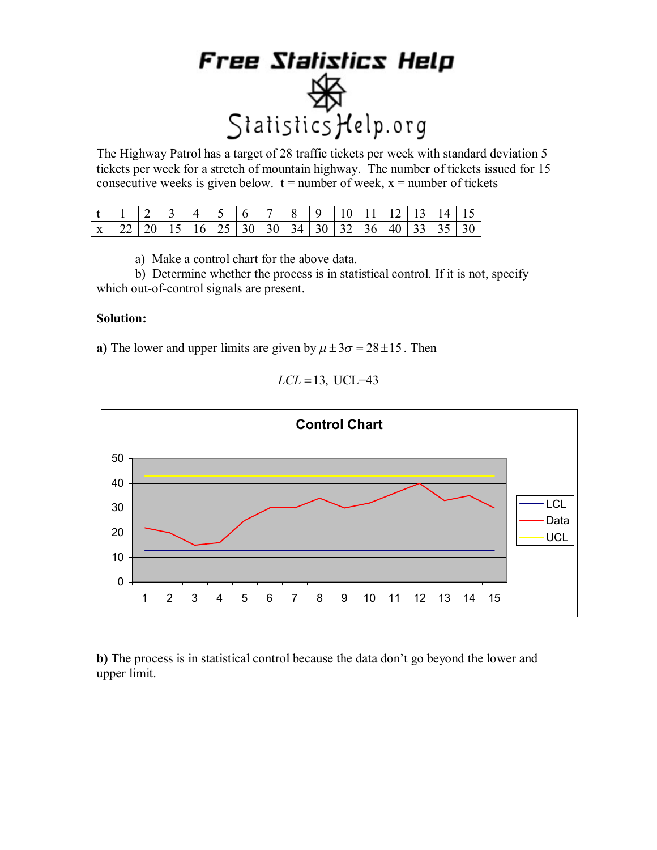The Highway Patrol has a target of 28 traffic tickets per week with standard deviation 5 tickets per week for a stretch of mountain highway. The number of tickets issued for 15 consecutive weeks is given below.  $t =$  number of week,  $x =$  number of tickets

a) Make a control chart for the above data.

b) Determine whether the process is in statistical control. If it is not, specify which out-of-control signals are present.

#### **Solution:**

**a)** The lower and upper limits are given by  $\mu \pm 3\sigma = 28 \pm 15$ . Then



 $LCL = 13$ , UCL=43

**b)** The process is in statistical control because the data don't go beyond the lower and upper limit.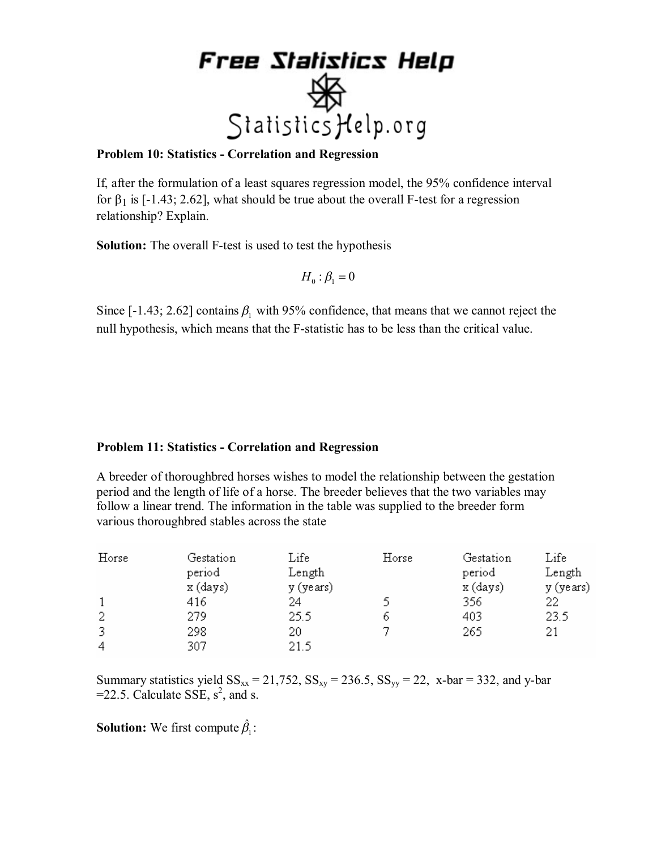

#### **Problem 10: Statistics - Correlation and Regression**

If, after the formulation of a least squares regression model, the 95% confidence interval for  $\beta_1$  is [-1.43; 2.62], what should be true about the overall F-test for a regression relationship? Explain.

**Solution:** The overall F-test is used to test the hypothesis

$$
H_0: \beta_1 = 0
$$

Since [-1.43; 2.62] contains  $\beta_1$  with 95% confidence, that means that we cannot reject the null hypothesis, which means that the F-statistic has to be less than the critical value.

#### **Problem 11: Statistics - Correlation and Regression**

A breeder of thoroughbred horses wishes to model the relationship between the gestation period and the length of life of a horse. The breeder believes that the two variables may follow a linear trend. The information in the table was supplied to the breeder form various thoroughbred stables across the state

| Horse | Gestation<br>period<br>x (days) | Life<br>Length<br>y (years) | Horse | Gestation<br>period<br>x (days) | Life<br>Length<br>y (years) |
|-------|---------------------------------|-----------------------------|-------|---------------------------------|-----------------------------|
|       | 416                             | 24                          |       | 356                             | 22                          |
| 2     | 279                             | 25.5                        | 6     | 403                             | 23.5                        |
| 3     | 298                             | 20                          |       | 265                             | 21                          |
| 4     | 307                             | 21.5                        |       |                                 |                             |

Summary statistics yield  $SS_{xx} = 21,752, SS_{xy} = 236.5, SS_{yy} = 22, x-bar = 332, and y-bar$  $=$  22.5. Calculate SSE,  $s^2$ , and s.

**Solution:** We first compute  $\hat{\beta}_1$ :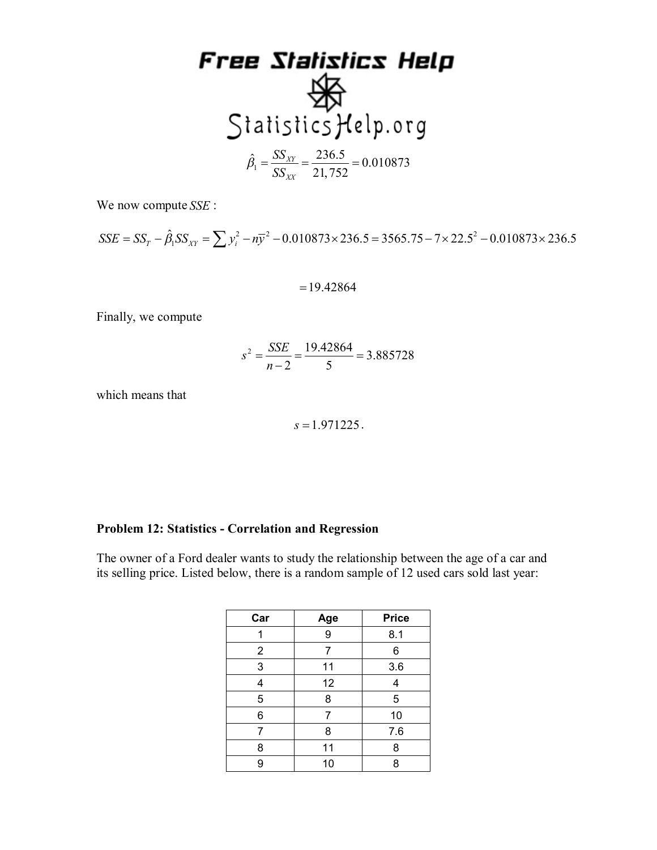

We now compute *SSE* :

2  $\frac{1}{2}$  0.010973 2245 - 2565 75 7 22  $SSE = SS_T - \hat{\beta}_1 SS_{XY} = \sum y_i^2 - n\overline{y}^2 - 0.010873 \times 236.5 = 3565.75 - 7 \times 22.5^2 - 0.010873 \times 236.5$ 

$$
= 19.42864
$$

Finally, we compute

$$
s^2 = \frac{SSE}{n-2} = \frac{19.42864}{5} = 3.885728
$$

which means that

$$
s = 1.971225
$$
.

#### **Problem 12: Statistics - Correlation and Regression**

The owner of a Ford dealer wants to study the relationship between the age of a car and its selling price. Listed below, there is a random sample of 12 used cars sold last year:

| Car            | Age | <b>Price</b> |
|----------------|-----|--------------|
|                | 9   | 8.1          |
| $\overline{2}$ | 7   | 6            |
| 3              | 11  | 3.6          |
| 4              | 12  | 4            |
| 5              | 8   | 5            |
| 6              | 7   | 10           |
| 7              | 8   | 7.6          |
| 8              | 11  | 8            |
| 9              | 10  | 8            |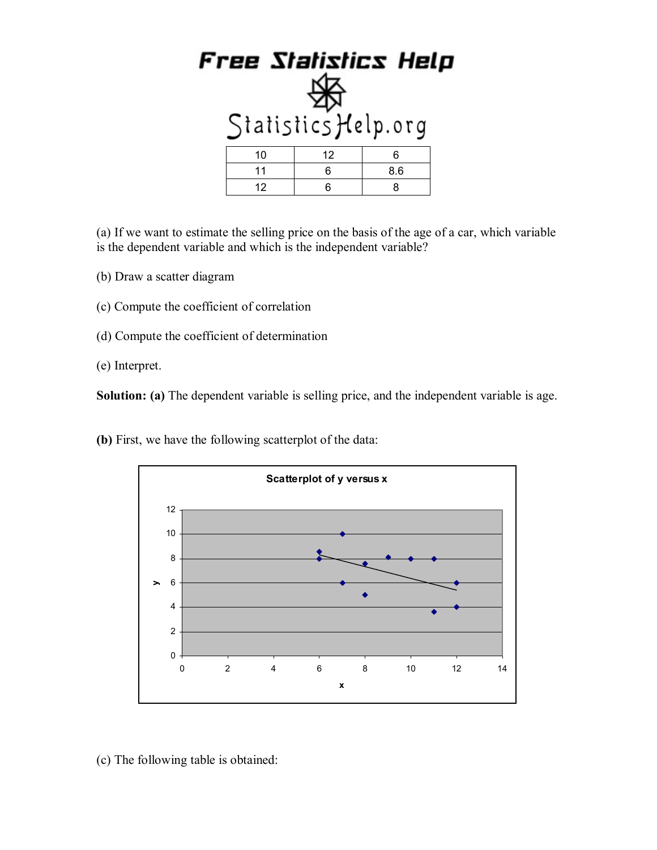| Free Statistics Help<br>Statistics Help.org |    |     |  |
|---------------------------------------------|----|-----|--|
| 10                                          | 12 | 6   |  |
| 11                                          | 6  | 8.6 |  |
| 12                                          | 6  | 8   |  |

(a) If we want to estimate the selling price on the basis of the age of a car, which variable is the dependent variable and which is the independent variable?

- (b) Draw a scatter diagram
- (c) Compute the coefficient of correlation
- (d) Compute the coefficient of determination
- (e) Interpret.

**Solution:** (a) The dependent variable is selling price, and the independent variable is age.

**(b)** First, we have the following scatterplot of the data:



(c) The following table is obtained: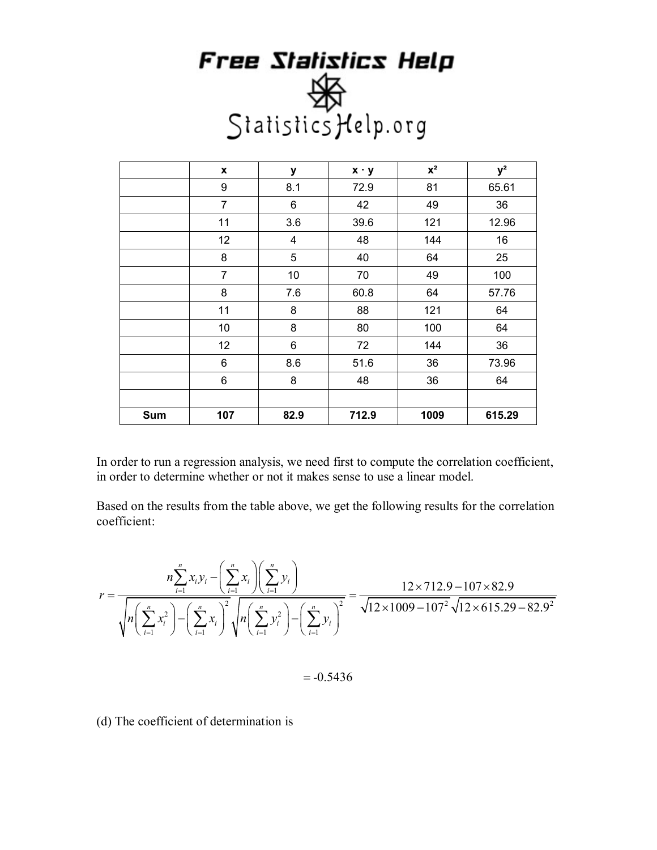|     | $\pmb{\mathsf{x}}$ | y    | $x \cdot y$ | $\mathbf{X}^2$ | $y^2$  |
|-----|--------------------|------|-------------|----------------|--------|
|     | 9                  | 8.1  | 72.9        | 81             | 65.61  |
|     | $\overline{7}$     | 6    | 42          | 49             | 36     |
|     | 11                 | 3.6  | 39.6        | 121            | 12.96  |
|     | 12                 | 4    | 48          | 144            | 16     |
|     | 8                  | 5    | 40          | 64             | 25     |
|     | 7                  | 10   | 70          | 49             | 100    |
|     | 8                  | 7.6  | 60.8        | 64             | 57.76  |
|     | 11                 | 8    | 88          | 121            | 64     |
|     | 10                 | 8    | 80          | 100            | 64     |
|     | 12                 | 6    | 72          | 144            | 36     |
|     | 6                  | 8.6  | 51.6        | 36             | 73.96  |
|     | 6                  | 8    | 48          | 36             | 64     |
|     |                    |      |             |                |        |
| Sum | 107                | 82.9 | 712.9       | 1009           | 615.29 |

In order to run a regression analysis, we need first to compute the correlation coefficient, in order to determine whether or not it makes sense to use a linear model.

Based on the results from the table above, we get the following results for the correlation coefficient:

$$
r = \frac{n \sum_{i=1}^{n} x_i y_i - \left(\sum_{i=1}^{n} x_i\right) \left(\sum_{i=1}^{n} y_i\right)}{\sqrt{n} \left(\sum_{i=1}^{n} x_i^2\right) - \left(\sum_{i=1}^{n} x_i\right)^2} \sqrt{n} \left(\sum_{i=1}^{n} y_i^2\right) - \left(\sum_{i=1}^{n} y_i\right)^2} = \frac{12 \times 712.9 - 107 \times 82.9}{\sqrt{12 \times 1009 - 107^2} \sqrt{12 \times 615.29 - 82.9^2}}
$$

 $=-0.5436$ 

(d) The coefficient of determination is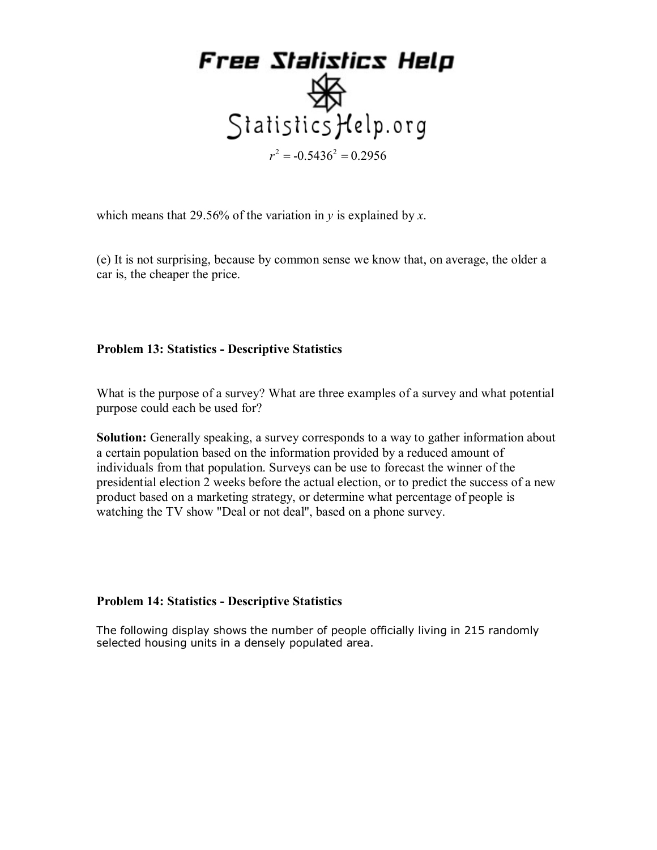

which means that 29.56% of the variation in *y* is explained by *x*.

(e) It is not surprising, because by common sense we know that, on average, the older a car is, the cheaper the price.

#### **Problem 13: Statistics - Descriptive Statistics**

What is the purpose of a survey? What are three examples of a survey and what potential purpose could each be used for?

**Solution:** Generally speaking, a survey corresponds to a way to gather information about a certain population based on the information provided by a reduced amount of individuals from that population. Surveys can be use to forecast the winner of the presidential election 2 weeks before the actual election, or to predict the success of a new product based on a marketing strategy, or determine what percentage of people is watching the TV show "Deal or not deal", based on a phone survey.

#### **Problem 14: Statistics - Descriptive Statistics**

The following display shows the number of people officially living in 215 randomly selected housing units in a densely populated area.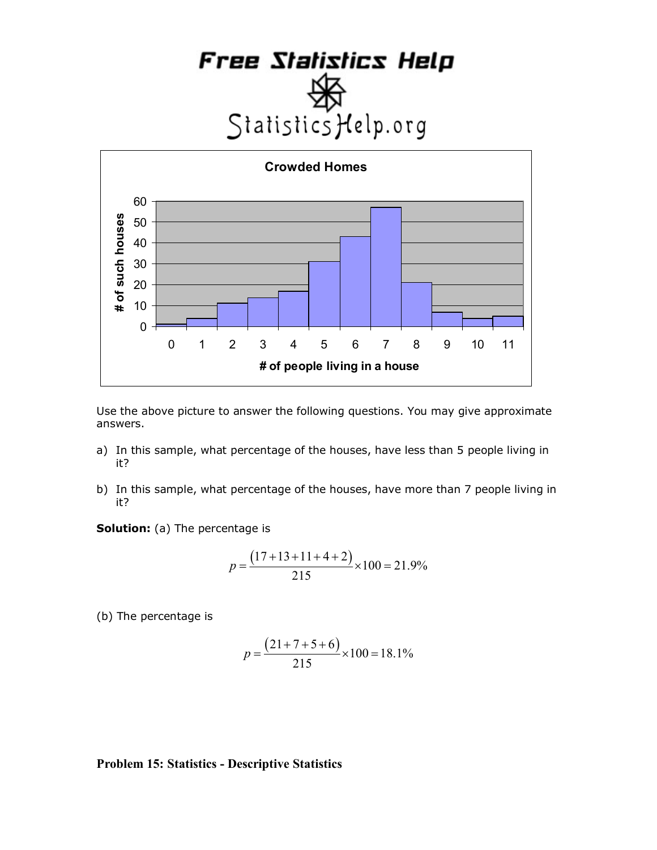



Use the above picture to answer the following questions. You may give approximate answers.

- a) In this sample, what percentage of the houses, have less than 5 people living in it?
- b) In this sample, what percentage of the houses, have more than 7 people living in it?

**Solution:** (a) The percentage is

$$
p = \frac{(17+13+11+4+2)}{215} \times 100 = 21.9\%
$$

(b) The percentage is

$$
p = \frac{(21+7+5+6)}{215} \times 100 = 18.1\%
$$

#### **Problem 15: Statistics - Descriptive Statistics**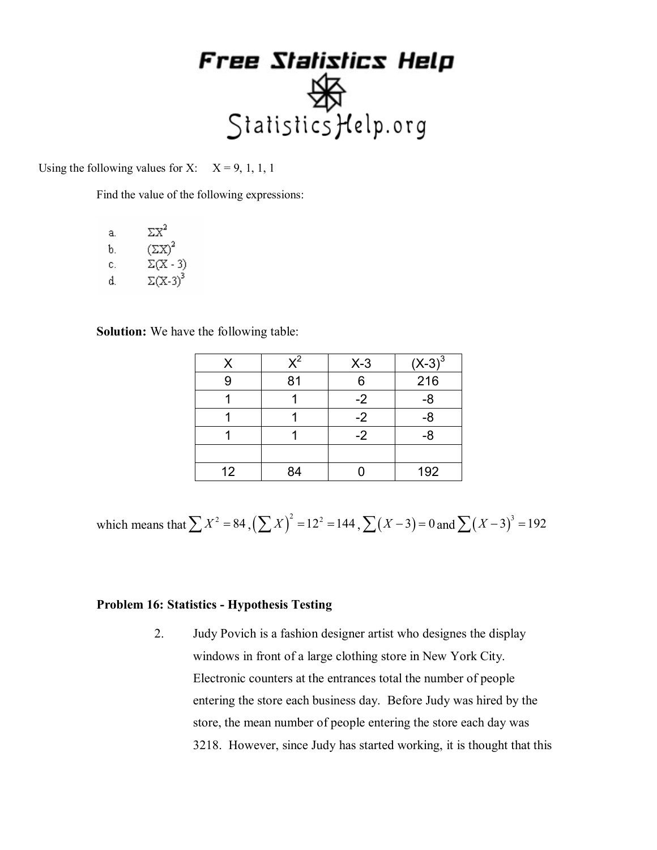Using the following values for X:  $X = 9, 1, 1, 1$ 

Find the value of the following expressions:

| а. | $\Sigma X^2$    |
|----|-----------------|
| b. | $(\Sigma X)^2$  |
| С. | $\Sigma(X - 3)$ |
| d. | $\Sigma(X-3)^3$ |

**Solution:** We have the following table:

| х  | $\mathsf{X}^2$ | $X-3$ | $(\underline{X-3})^{\overline{3}}$ |
|----|----------------|-------|------------------------------------|
|    | 81             | 6     | 216                                |
|    |                | $-2$  | -8                                 |
|    |                | $-2$  | -8                                 |
|    |                | $-2$  | -8                                 |
|    |                |       |                                    |
| 12 | ٩4             |       | 192                                |

which means that  $\sum X^2 = 84$ ,  $(\sum X)^2 = 12^2 = 144$ ,  $\sum (X-3) = 0$  and  $\sum (X-3)^3 = 192$ 

#### **Problem 16: Statistics - Hypothesis Testing**

2. Judy Povich is a fashion designer artist who designes the display windows in front of a large clothing store in New York City. Electronic counters at the entrances total the number of people entering the store each business day. Before Judy was hired by the store, the mean number of people entering the store each day was 3218. However, since Judy has started working, it is thought that this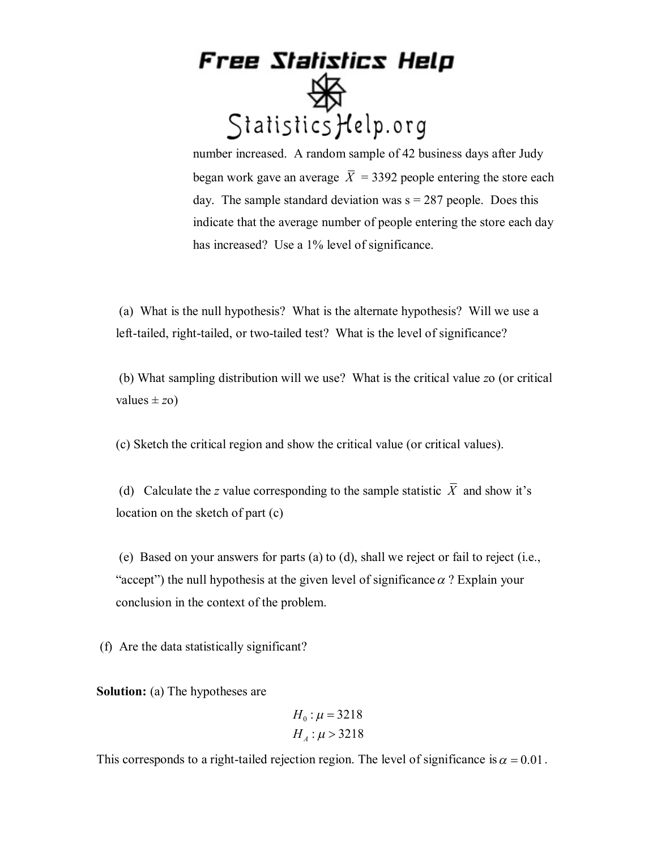number increased. A random sample of 42 business days after Judy began work gave an average  $\overline{X}$  = 3392 people entering the store each day. The sample standard deviation was  $s = 287$  people. Does this indicate that the average number of people entering the store each day has increased? Use a 1% level of significance.

 (a) What is the null hypothesis? What is the alternate hypothesis? Will we use a left-tailed, right-tailed, or two-tailed test? What is the level of significance?

 (b) What sampling distribution will we use? What is the critical value *z*o (or critical values  $\pm z_0$ )

(c) Sketch the critical region and show the critical value (or critical values).

(d) Calculate the *z* value corresponding to the sample statistic  $\overline{X}$  and show it's location on the sketch of part (c)

 (e) Based on your answers for parts (a) to (d), shall we reject or fail to reject (i.e., "accept") the null hypothesis at the given level of significance  $\alpha$ ? Explain your conclusion in the context of the problem.

(f) Are the data statistically significant?

**Solution:** (a) The hypotheses are

$$
H_0: \mu = 3218
$$
  

$$
H_A: \mu > 3218
$$

This corresponds to a right-tailed rejection region. The level of significance is  $\alpha = 0.01$ .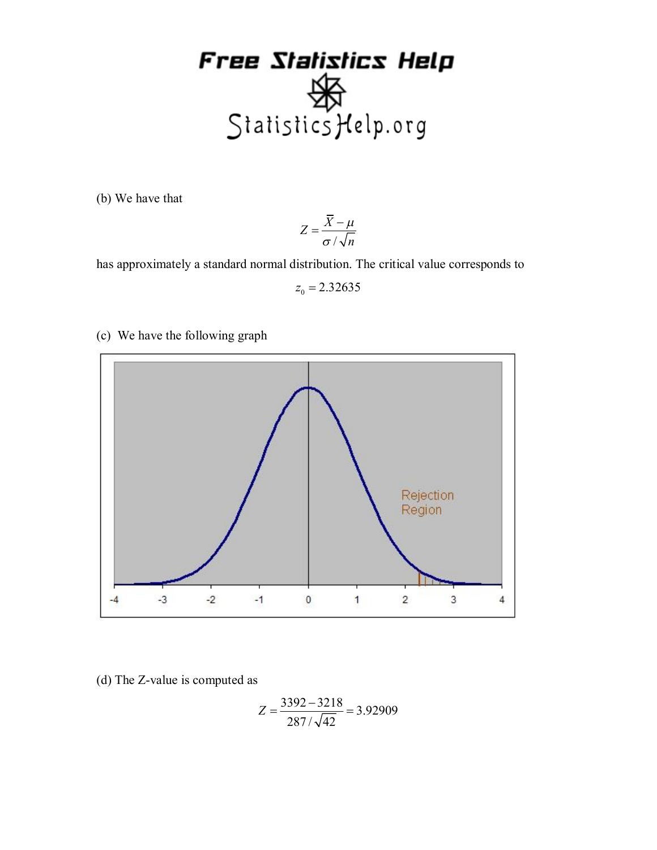

(b) We have that

$$
Z = \frac{\overline{X} - \mu}{\sigma / \sqrt{n}}
$$

has approximately a standard normal distribution. The critical value corresponds to

 $z_0 = 2.32635$ 

(c) We have the following graph



(d) The Z-value is computed as

$$
Z = \frac{3392 - 3218}{287 / \sqrt{42}} = 3.92909
$$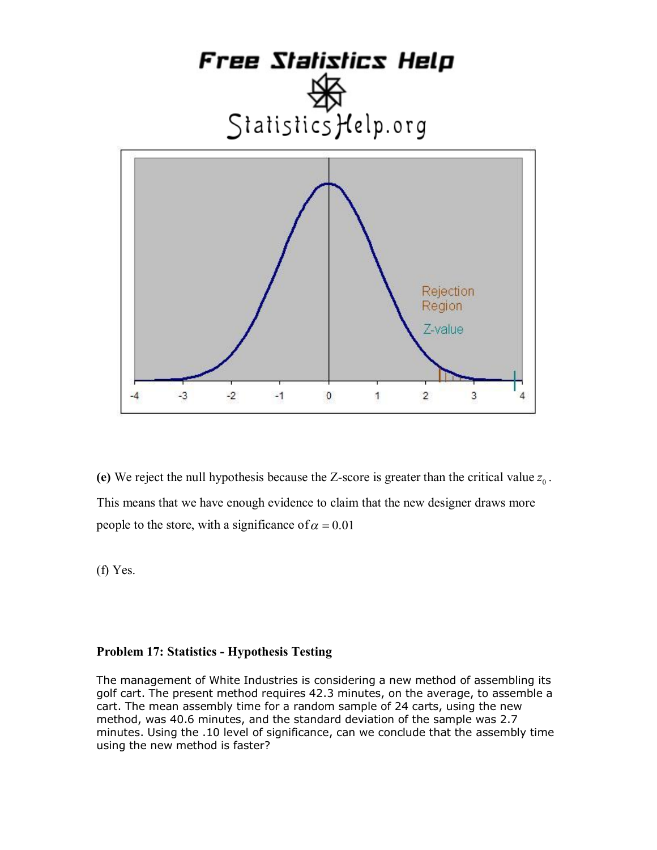

(e) We reject the null hypothesis because the Z-score is greater than the critical value  $z_0$ . This means that we have enough evidence to claim that the new designer draws more people to the store, with a significance of  $\alpha = 0.01$ 

(f) Yes.

#### **Problem 17: Statistics - Hypothesis Testing**

The management of White Industries is considering a new method of assembling its golf cart. The present method requires 42.3 minutes, on the average, to assemble a cart. The mean assembly time for a random sample of 24 carts, using the new method, was 40.6 minutes, and the standard deviation of the sample was 2.7 minutes. Using the .10 level of significance, can we conclude that the assembly time using the new method is faster?